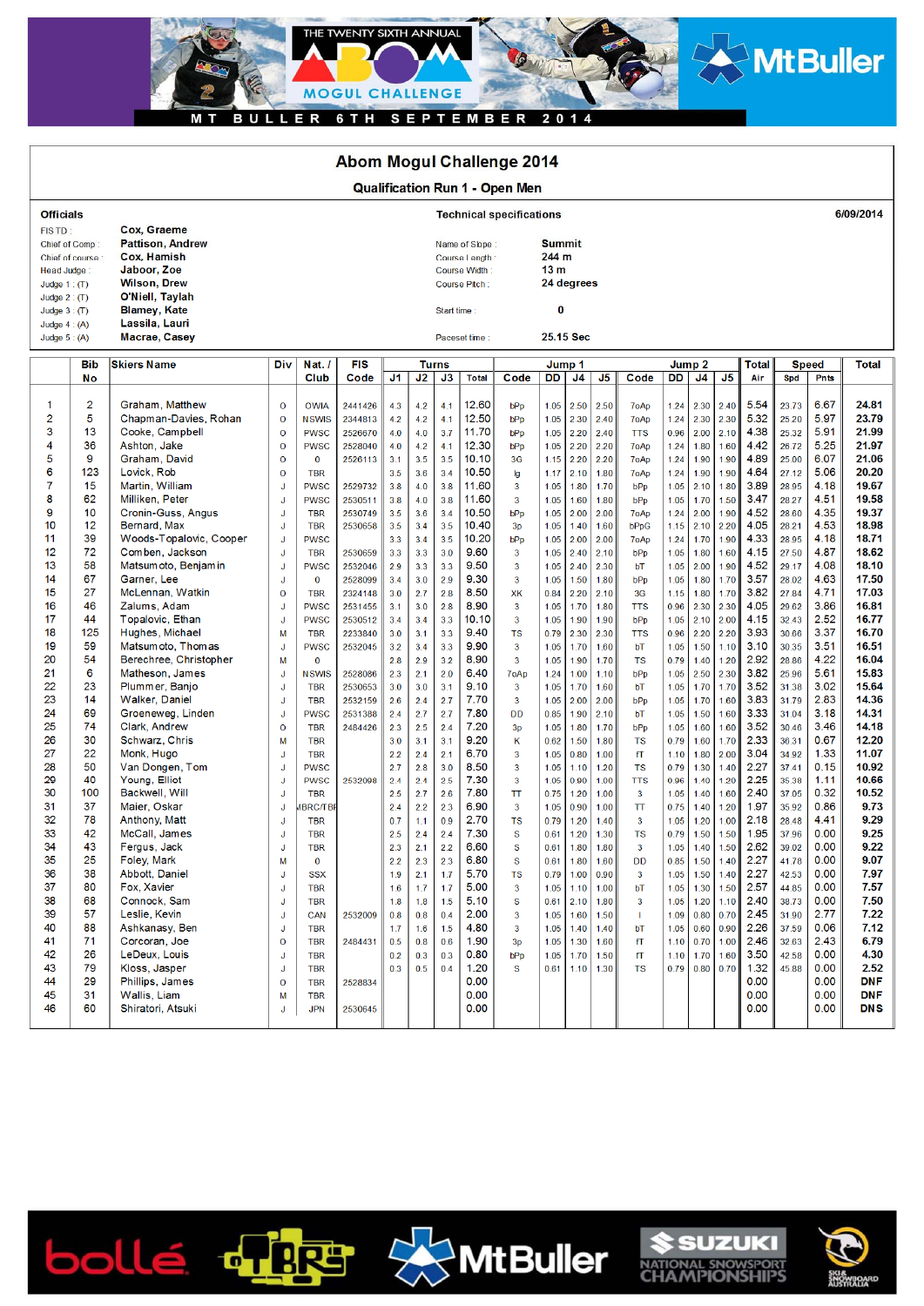

## Abom Mogul Challenge 2014

| <b>Qualification Run 1 - Open Men</b>                                          |                                 |                                                                                                                |                                              |                                                           |                                          |                          |                          |                                                                    |                                  |                          |              |                                                         |                                           |                                    |                        |                                            |           |                              |                                  |                              |                                  |
|--------------------------------------------------------------------------------|---------------------------------|----------------------------------------------------------------------------------------------------------------|----------------------------------------------|-----------------------------------------------------------|------------------------------------------|--------------------------|--------------------------|--------------------------------------------------------------------|----------------------------------|--------------------------|--------------|---------------------------------------------------------|-------------------------------------------|------------------------------------|------------------------|--------------------------------------------|-----------|------------------------------|----------------------------------|------------------------------|----------------------------------|
| <b>Officials</b>                                                               |                                 |                                                                                                                | 6/09/2014<br><b>Technical specifications</b> |                                                           |                                          |                          |                          |                                                                    |                                  |                          |              |                                                         |                                           |                                    |                        |                                            |           |                              |                                  |                              |                                  |
| FISTD:<br>Chief of Comp:<br>Chief of course :<br>Head Judge:<br>Judge $1:$ (T) |                                 | Cox, Graeme<br><b>Pattison, Andrew</b><br>Cox. Hamish<br>Jaboor, Zoe<br><b>Wilson, Drew</b><br>O'Niell, Taylah |                                              |                                                           |                                          |                          |                          | Name of Slope:<br>Course Length:<br>Course Width:<br>Course Pitch: |                                  |                          |              | <b>Summit</b><br>244 m<br>13 <sub>m</sub><br>24 degrees |                                           |                                    |                        |                                            |           |                              |                                  |                              |                                  |
| Judge $2:$ (T)<br>Judge $3:$ (T)<br>Judge $4: (A)$<br>Judge $5: (A)$           |                                 | <b>Blamey, Kate</b><br>Lassila, Lauri<br>Macrae, Casey                                                         |                                              | Start time:<br>Paceset time:                              |                                          |                          |                          | 0<br>25.15 Sec                                                     |                                  |                          |              |                                                         |                                           |                                    |                        |                                            |           |                              |                                  |                              |                                  |
|                                                                                | <b>Bib</b>                      | <b>Skiers Name</b>                                                                                             | <b>Div</b>                                   | Nat.                                                      | <b>FIS</b>                               | Turns                    |                          |                                                                    |                                  |                          | Jump 1       |                                                         |                                           |                                    |                        |                                            |           | <b>Total</b>                 |                                  | Speed                        | <b>Total</b>                     |
|                                                                                | No                              |                                                                                                                |                                              | Club                                                      | Code                                     | J1                       | J2                       | J3                                                                 | <b>Total</b>                     | Code                     | DD.          | J4                                                      | J <sub>5</sub>                            | Code                               | <b>DD</b>              | J4                                         | J5        | Air                          | Spd                              | Pnts                         |                                  |
| 3<br>4                                                                         | $\overline{2}$<br>5<br>13<br>36 | Graham, Matthew<br>Chapman-Davies, Rohan<br>Cooke, Campbell<br>Ashton, Jake                                    | $\circ$<br>$\Omega$<br>$\circ$<br>$\circ$    | <b>OWIA</b><br><b>NSWIS</b><br><b>PWSC</b><br><b>PWSC</b> | 2441426<br>2344813<br>2526670<br>2528040 | 4.3<br>4.2<br>4.0<br>4.0 | 4.2<br>4.2<br>4.0<br>4.2 | 4.1<br>4.1<br>3.7<br>4.1                                           | 12.60<br>12.50<br>11.70<br>12.30 | bPp<br>bPp<br>bPp<br>bPp | 1.05<br>1.05 | $1.05$ 2.30<br>2.20<br>2.20                             | $1.05$ 2.50 2.50<br>2.40<br>2.40<br> 2.20 | 7oAp<br>7oAp<br><b>TTS</b><br>7oAp | $1.24$<br>0.96<br>1.24 | 1.24 2.30 2.40<br>2.30 2.30<br>$2.00$ 2.10 | 1.80 1.60 | 5.54<br>5.32<br>4.38<br>4.42 | 23.73<br>25.20<br>25.32<br>26.72 | 6.67<br>5.97<br>5.91<br>5.25 | 24.81<br>23.79<br>21.99<br>21.97 |

| э  | 13  | Cooke, Campbell         | $\epsilon$   | PWSC           | 2526670 | 4.0 | 4.0 | 3.1 | 11.7U | <b>bPp</b>      | 1.05 | 2.20 | 2.40 | 118            | 0.96 | 2.00 | 2.10 | 4.38 | 25.32 | ວ.ອ ເ | 21.99      |
|----|-----|-------------------------|--------------|----------------|---------|-----|-----|-----|-------|-----------------|------|------|------|----------------|------|------|------|------|-------|-------|------------|
| 4  | 36  | Ashton, Jake            | $\mathbf 0$  | <b>PWSC</b>    | 2528040 | 4.0 | 4.2 | 4.1 | 12.30 | b <sub>Pp</sub> | 1.05 | 2.20 | 2.20 | 7oAp           | 1.24 | 1.80 | 1.60 | 4.42 | 26.72 | 5.25  | 21.97      |
| 5  | 9   | Graham, David           | $\Omega$     | $\mathbf{0}$   | 2526113 | 3.1 | 3.5 | 3.5 | 10.10 | 3 <sub>G</sub>  | 1.15 | 2.20 | 2.20 | 7oAp           | 1.24 | 1.90 | 1.90 | 4.89 | 25.00 | 6.07  | 21.06      |
| 6  | 123 | Lovick, Rob             | $\mathbf{O}$ | <b>TBR</b>     |         | 3.5 | 3.6 | 3.4 | 10.50 | lg              | 1.17 | 2.10 | 1.80 | 7oAp           | 1.24 | 1.90 | 1.90 | 4.64 | 27.12 | 5.06  | 20.20      |
| 7  | 15  | Martin, William         | J            | <b>PWSC</b>    | 2529732 | 3.8 | 4.0 | 3.8 | 11.60 | $\overline{3}$  | 1.05 | 1.80 | 1.70 | bPp            | 1.05 | 2.10 | 1.80 | 3.89 | 28.95 | 4.18  | 19.67      |
| 8  | 62  | Milliken, Peter         | J.           | <b>PWSC</b>    | 2530511 | 3.8 | 4.0 | 3.8 | 11.60 | $\overline{3}$  | 1.05 | 1.60 | 1.80 | bPp            | 1.05 | 1.70 | 1.50 | 3.47 | 28.27 | 4.51  | 19.58      |
| 9  | 10  | Cronin-Guss, Angus      | J            | <b>TBR</b>     | 2530749 | 3.5 | 3.6 | 3.4 | 10.50 | bPp             | 1.05 | 2.00 | 2.00 | 7oAp           | 1.24 | 2.00 | 1.90 | 4.52 | 28.60 | 4.35  | 19.37      |
| 10 | 12  | Bernard, Max            | J            | <b>TBR</b>     | 2530658 | 3.5 | 3.4 | 3.5 | 10.40 | 3p              | 1.05 | 1.40 | 1.60 | bPpG           | 1.15 | 2.10 | 2.20 | 4.05 | 28.21 | 4.53  | 18.98      |
| 11 | 39  | Woods-Topalovic, Cooper | J            | <b>PWSC</b>    |         | 3.3 | 3.4 | 3.5 | 10.20 | bPp             | 1.05 | 2.00 | 2.00 | 7oAp           | 1.24 | 1.70 | 1.90 | 4.33 | 28.95 | 4.18  | 18.71      |
| 12 | 72  | Comben, Jackson         | J            | <b>TBR</b>     | 2530659 | 3.3 | 3.3 | 3.0 | 9.60  | 3               | 1.05 | 2.40 | 2.10 | bPp            | 1.05 | 1.80 | 1.60 | 4.15 | 27.50 | 4.87  | 18.62      |
| 13 | 58  | Matsum oto, Benjam in   | J            | <b>PWSC</b>    | 2532046 | 2.9 | 3.3 | 3.3 | 9.50  | $\overline{3}$  | 1.05 | 2.40 | 2.30 | bT             | 1.05 | 2.00 | 1.90 | 4.52 | 29.17 | 4.08  | 18.10      |
| 14 | 67  | Garner, Lee             | IJ           | $\mathbf{0}$   | 2528099 | 3.4 | 3.0 | 2.9 | 9.30  | $\overline{3}$  | 1.05 | 1.50 | 1.80 | bPp            | 1.05 | 1.80 | 1.70 | 3.57 | 28.02 | 4.63  | 17.50      |
| 15 | 27  | McLennan, Watkin        | $\Omega$     | <b>TBR</b>     | 2324148 | 3.0 | 2.7 | 2.8 | 8.50  | XK              | 0.84 | 2.20 | 2.10 | 3 <sub>G</sub> | 1.15 | 1.80 | 1.70 | 3.82 | 27.84 | 4.71  | 17.03      |
| 16 | 46  | Zalums, Adam            |              | <b>PWSC</b>    | 2531455 | 3.1 | 3.0 | 2.8 | 8.90  | $\overline{3}$  | 1.05 | 1.70 | 1.80 | <b>TTS</b>     | 0.96 | 2.30 | 2.30 | 4.05 | 29.62 | 3.86  | 16.81      |
| 17 | 44  | Topalovic, Ethan        | J            | <b>PWSC</b>    | 2530512 | 3.4 | 3.4 | 3.3 | 10.10 | $\mathbf{3}$    | 1.05 | 1.90 | 1.90 | bPp            | 1.05 | 2.10 | 2.00 | 4.15 | 32.43 | 2.52  | 16.77      |
| 18 | 125 | Hughes, Michael         | M            | <b>TBR</b>     | 2233840 | 3.0 | 3.1 | 3.3 | 9.40  | <b>TS</b>       | 0.79 | 2.30 | 2.30 | <b>TTS</b>     | 0.96 | 2.20 | 2.20 | 3.93 | 30.66 | 3.37  | 16.70      |
| 19 | 59  | Matsum oto, Thom as     | J            | <b>PWSC</b>    | 2532045 | 3.2 | 3.4 | 3.3 | 9.90  | $\overline{3}$  | 1.05 | 1.70 | 1.60 | bT             | 1.05 | 1.50 | 1.10 | 3.10 | 30.35 | 3.51  | 16.51      |
| 20 | 54  | Berechree, Christopher  | M            | $\mathbf{0}$   |         | 2.8 | 2.9 | 3.2 | 8.90  | $\overline{3}$  | 1.05 | 1.90 | 1.70 | <b>TS</b>      | 0.79 | 1.40 | 1.20 | 2.92 | 28.86 | 4.22  | 16.04      |
| 21 | 6   | Matheson, James         | IJ           | <b>NSWIS</b>   | 2528086 | 2.3 | 2.1 | 2.0 | 6.40  | 7oAp            | 1.24 | 1.00 | 1.10 | bPp            | 1.05 | 2.50 | 2.30 | 3.82 | 25.96 | 5.61  | 15.83      |
| 22 | 23  | Plummer, Banjo          | J            | <b>TBR</b>     | 2530653 | 3.0 | 3.0 | 3.1 | 9.10  | 3               | 1.05 | 1.70 | 1.60 | bT             | 1.05 | 1.70 | 1.70 | 3.52 | 31.38 | 3.02  | 15.64      |
| 23 | 14  | <b>Walker, Daniel</b>   | J            | <b>TBR</b>     | 2532159 | 2.6 | 2.4 | 2.7 | 7.70  | $\overline{3}$  | 1.05 | 2.00 | 2.00 | bPp            | 1.05 | 1.70 | 1.60 | 3.83 | 31.79 | 2.83  | 14.36      |
| 24 | 69  | Groeneweg, Linden       | J.           | <b>PWSC</b>    | 2531388 | 2.4 | 2.7 | 2.7 | 7.80  | <b>DD</b>       | 0.85 | 1.90 | 2.10 | bT             | 1.05 | 1.50 | 1.60 | 3.33 | 31.04 | 3.18  | 14.31      |
| 25 | 74  | Clark, Andrew           | $\Omega$     | <b>TBR</b>     | 2484426 | 2.3 | 2.5 | 2.4 | 7.20  | 3p              | 1.05 | 1.80 | 1.70 | bPp            | 1.05 | 1.60 | 1.60 | 3.52 | 30.46 | 3.46  | 14.18      |
| 26 | 30  | Schwarz, Chris          | M            | <b>TBR</b>     |         | 3.0 | 3.1 | 3.1 | 9.20  | K               | 0.62 | 1.50 | 1.80 | <b>TS</b>      | 0.79 | 1.60 | 1.70 | 2.33 | 36.31 | 0.67  | 12.20      |
| 27 | 22  | Monk, Hugo              | J            | <b>TBR</b>     |         | 2.2 | 2.4 | 2.1 | 6.70  | $\overline{3}$  | 1.05 | 0.80 | 1.00 | fT             | 1.10 | 1.80 | 2.00 | 3.04 | 34.92 | 1.33  | 11.07      |
| 28 | 50  | Van Dongen, Tom         | IJ           | <b>PWSC</b>    |         | 2.7 | 2.8 | 3.0 | 8.50  | $\overline{3}$  | 1.05 | 1.10 | 1.20 | <b>TS</b>      | 0.79 | 1.30 | 1.40 | 2.27 | 37.41 | 0.15  | 10.92      |
| 29 | 40  | Young, Elliot           | J            | <b>PWSC</b>    | 2532098 | 2.4 | 2.4 | 2.5 | 7.30  | $\overline{3}$  | 1.05 | 0.90 | 1.00 | <b>TTS</b>     | 0.96 | 1.40 | 1.20 | 2.25 | 35.38 | 1.11  | 10.66      |
| 30 | 100 | Backwell, Will          | J.           | <b>TBR</b>     |         | 2.5 | 2.7 | 2.6 | 7.80  | TT              | 0.75 | 1.20 | 1.00 | 3              | 1.05 | 1.40 | 1.60 | 2.40 | 37.05 | 0.32  | 10.52      |
| 31 | 37  | Maier, Oskar            | J            | <b>BRC/TBF</b> |         | 2.4 | 2.2 | 2.3 | 6.90  | $\overline{3}$  | 1.05 | 0.90 | 1.00 | T              | 0.75 | 1.40 | 1.20 | 1.97 | 35.92 | 0.86  | 9.73       |
| 32 | 78  | Anthony, Matt           | J            | <b>TBR</b>     |         | 0.7 | 1.1 | 0.9 | 2.70  | <b>TS</b>       | 0.79 | 1.20 | 1.40 | 3              | 1.05 | 1.20 | 1.00 | 2.18 | 28.48 | 4.41  | 9.29       |
| 33 | 42  | McCall, James           | J.           | <b>TBR</b>     |         | 2.5 | 2.4 | 2.4 | 7.30  | S               | 0.61 | 1.20 | 1.30 | <b>TS</b>      | 0.79 | 1.50 | 1.50 | 1.95 | 37.96 | 0.00  | 9.25       |
| 34 | 43  | Fergus, Jack            | J            | <b>TBR</b>     |         | 2.3 | 2.1 | 2.2 | 6.60  | $\mathbf{s}$    | 0.61 | 1.80 | 1.80 | $\overline{3}$ | 1.05 | 1.40 | 1.50 | 2.62 | 39.02 | 0.00  | 9.22       |
| 35 | 25  | <b>Foley, Mark</b>      | M            | $\mathbf{0}$   |         | 2.2 | 2.3 | 2.3 | 6.80  | S               | 0.61 | 1.80 | 1.60 | DD             | 0.85 | 1.50 | 1.40 | 2.27 | 41.78 | 0.00  | 9.07       |
| 36 | 38  | Abbott, Daniel          | J            | <b>SSX</b>     |         | 1.9 | 2.1 | 1.7 | 5.70  | <b>TS</b>       | 0.79 | 1.00 | 0.90 | 3              | 1.05 | 1.50 | 1.40 | 2.27 | 42.53 | 0.00  | 7.97       |
| 37 | 80  | Fox, Xavier             | J            | <b>TBR</b>     |         | 1.6 | 1.7 | 1.7 | 5.00  | $\overline{3}$  | 1.05 | 1.10 | 1.00 | bT             | 1.05 | 1.30 | 1.50 | 2.57 | 44.85 | 0.00  | 7.57       |
| 38 | 68  | Connock, Sam            | J            | <b>TBR</b>     |         | 1.8 | 1.8 | 1.5 | 5.10  | $\mathbf{s}$    | 0.61 | 2.10 | 1.80 | $\overline{3}$ | 1.05 | 1.20 | 1.10 | 2.40 | 38.73 | 0.00  | 7.50       |
| 39 | 57  | Leslie, Kevin           | J            | CAN            | 2532009 | 0.8 | 0.8 | 0.4 | 2.00  | $\overline{3}$  | 1.05 | 1.60 | 1.50 | п.             | 1.09 | 0.80 | 0.70 | 2.45 | 31.90 | 2.77  | 7.22       |
| 40 | 88  | Ashkanasy, Ben          | J.           | <b>TBR</b>     |         | 1.7 | 1.6 | 1.5 | 4.80  | $\overline{3}$  | 1.05 | 1.40 | 1.40 | bT             | 1.05 | 0.60 | 0.90 | 2.26 | 37.59 | 0.06  | 7.12       |
| 41 | 71  | Corcoran, Joe           | $\mathbf 0$  | <b>TBR</b>     | 2484431 | 0.5 | 0.8 | 0.6 | 1.90  | 3p              | 1.05 | 1.30 | 1.60 | fT             | 1.10 | 0.70 | 1.00 | 2.46 | 32.63 | 2.43  | 6.79       |
| 42 | 26  | LeDeux, Louis           | J            | <b>TBR</b>     |         | 0.2 | 0.3 | 0.3 | 0.80  | bPp             | 1.05 | 1.70 | 1.50 | fT             | 1.10 | 1.70 | 1.60 | 3.50 | 42.58 | 0.00  | 4.30       |
| 43 | 79  | Kloss, Jasper           | J            | <b>TBR</b>     |         | 0.3 | 0.5 | 0.4 | 1.20  | s               | 0.61 | 1.10 | 1.30 | <b>TS</b>      | 0.79 | 0.80 | 0.70 | 1.32 | 45.88 | 0.00  | 2.52       |
| 44 | 29  | Phillips, James         | $\Omega$     | <b>TBR</b>     | 2528834 |     |     |     | 0.00  |                 |      |      |      |                |      |      |      | 0.00 |       | 0.00  | <b>DNF</b> |
| 45 | 31  | Wallis, Liam            | M            | <b>TBR</b>     |         |     |     |     | 0.00  |                 |      |      |      |                |      |      |      | 0.00 |       | 0.00  | <b>DNF</b> |
| 46 | 60  | Shiratori, Atsuki       | J            | <b>JPN</b>     | 2530645 |     |     |     | 0.00  |                 |      |      |      |                |      |      |      | 0.00 |       | 0.00  | <b>DNS</b> |
|    |     |                         |              |                |         |     |     |     |       |                 |      |      |      |                |      |      |      |      |       |       |            |
|    |     |                         |              |                |         |     |     |     |       |                 |      |      |      |                |      |      |      |      |       |       |            |







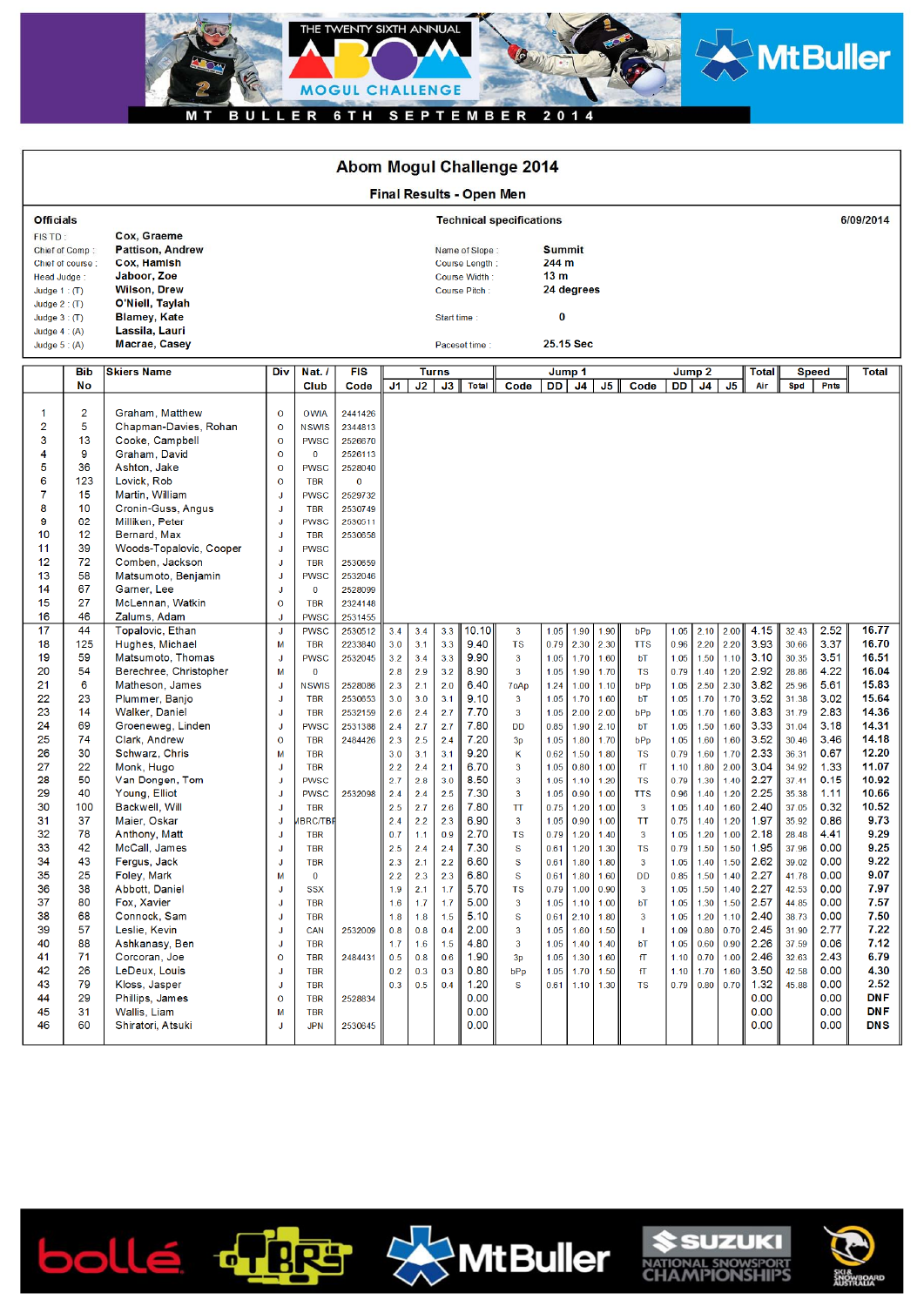

|                                                                                                                                                                                                                                           |                                                                                                                                                                                                                                                                |                                                                                                                                                                                                                                                                                                                                                                                                                                                                                                                                                                                                                                                                                                                                                                                |                                                                                                                                                                                                                                                                                                        |                                                                                                                                                                                                                                                                                                                                                                                                                                                                                                                                                                                            | <b>Abom Mogul Challenge 2014</b>                                                                                                                                                                                                                                                                |                                                                                                                                                                             |                                                                                                                                                                             |                                                                                                                                                                             |                                                                                                                                                                                                       |                                                                                                                                                                                                                          |                                                                                                                                                                                                      |                                                                                                                                                                                                      |                                                                                                                                                                                                      |                                                                                                                                                                                                                                           |                                                                                                                                                                                                      |                                                                                                                                                                                                      |                                                                                                                                                                                                      |                                                                                                                                                                                                      |                                                                                                                                                                                                                               |                                                                                                                                                                                                      |                                                                                                                                                                                                                    |
|-------------------------------------------------------------------------------------------------------------------------------------------------------------------------------------------------------------------------------------------|----------------------------------------------------------------------------------------------------------------------------------------------------------------------------------------------------------------------------------------------------------------|--------------------------------------------------------------------------------------------------------------------------------------------------------------------------------------------------------------------------------------------------------------------------------------------------------------------------------------------------------------------------------------------------------------------------------------------------------------------------------------------------------------------------------------------------------------------------------------------------------------------------------------------------------------------------------------------------------------------------------------------------------------------------------|--------------------------------------------------------------------------------------------------------------------------------------------------------------------------------------------------------------------------------------------------------------------------------------------------------|--------------------------------------------------------------------------------------------------------------------------------------------------------------------------------------------------------------------------------------------------------------------------------------------------------------------------------------------------------------------------------------------------------------------------------------------------------------------------------------------------------------------------------------------------------------------------------------------|-------------------------------------------------------------------------------------------------------------------------------------------------------------------------------------------------------------------------------------------------------------------------------------------------|-----------------------------------------------------------------------------------------------------------------------------------------------------------------------------|-----------------------------------------------------------------------------------------------------------------------------------------------------------------------------|-----------------------------------------------------------------------------------------------------------------------------------------------------------------------------|-------------------------------------------------------------------------------------------------------------------------------------------------------------------------------------------------------|--------------------------------------------------------------------------------------------------------------------------------------------------------------------------------------------------------------------------|------------------------------------------------------------------------------------------------------------------------------------------------------------------------------------------------------|------------------------------------------------------------------------------------------------------------------------------------------------------------------------------------------------------|------------------------------------------------------------------------------------------------------------------------------------------------------------------------------------------------------|-------------------------------------------------------------------------------------------------------------------------------------------------------------------------------------------------------------------------------------------|------------------------------------------------------------------------------------------------------------------------------------------------------------------------------------------------------|------------------------------------------------------------------------------------------------------------------------------------------------------------------------------------------------------|------------------------------------------------------------------------------------------------------------------------------------------------------------------------------------------------------|------------------------------------------------------------------------------------------------------------------------------------------------------------------------------------------------------|-------------------------------------------------------------------------------------------------------------------------------------------------------------------------------------------------------------------------------|------------------------------------------------------------------------------------------------------------------------------------------------------------------------------------------------------|--------------------------------------------------------------------------------------------------------------------------------------------------------------------------------------------------------------------|
| Final Results - Open Men                                                                                                                                                                                                                  |                                                                                                                                                                                                                                                                |                                                                                                                                                                                                                                                                                                                                                                                                                                                                                                                                                                                                                                                                                                                                                                                |                                                                                                                                                                                                                                                                                                        |                                                                                                                                                                                                                                                                                                                                                                                                                                                                                                                                                                                            |                                                                                                                                                                                                                                                                                                 |                                                                                                                                                                             |                                                                                                                                                                             |                                                                                                                                                                             |                                                                                                                                                                                                       |                                                                                                                                                                                                                          |                                                                                                                                                                                                      |                                                                                                                                                                                                      |                                                                                                                                                                                                      |                                                                                                                                                                                                                                           |                                                                                                                                                                                                      |                                                                                                                                                                                                      |                                                                                                                                                                                                      |                                                                                                                                                                                                      |                                                                                                                                                                                                                               |                                                                                                                                                                                                      |                                                                                                                                                                                                                    |
| <b>Officials</b>                                                                                                                                                                                                                          |                                                                                                                                                                                                                                                                |                                                                                                                                                                                                                                                                                                                                                                                                                                                                                                                                                                                                                                                                                                                                                                                |                                                                                                                                                                                                                                                                                                        |                                                                                                                                                                                                                                                                                                                                                                                                                                                                                                                                                                                            |                                                                                                                                                                                                                                                                                                 | <b>Technical specifications</b>                                                                                                                                             |                                                                                                                                                                             |                                                                                                                                                                             | 6/09/2014                                                                                                                                                                                             |                                                                                                                                                                                                                          |                                                                                                                                                                                                      |                                                                                                                                                                                                      |                                                                                                                                                                                                      |                                                                                                                                                                                                                                           |                                                                                                                                                                                                      |                                                                                                                                                                                                      |                                                                                                                                                                                                      |                                                                                                                                                                                                      |                                                                                                                                                                                                                               |                                                                                                                                                                                                      |                                                                                                                                                                                                                    |
| FIS TD:<br>Chief of Comp:<br>Chief of course:<br>Head Judge:<br>Judge $1:$ (T)<br>Judge $2:$ (T)<br>Judge $3:$ (T)<br>Judge $4:(A)$<br>Judge $5: (A)$                                                                                     |                                                                                                                                                                                                                                                                | Cox. Graeme<br><b>Pattison, Andrew</b><br><b>Cox, Hamish</b><br>Jaboor, Zoe<br><b>Wilson, Drew</b><br>O'Niell, Taylah<br><b>Blamey, Kate</b><br>Lassila, Lauri<br>Macrae, Casey                                                                                                                                                                                                                                                                                                                                                                                                                                                                                                                                                                                                |                                                                                                                                                                                                                                                                                                        |                                                                                                                                                                                                                                                                                                                                                                                                                                                                                                                                                                                            |                                                                                                                                                                                                                                                                                                 | Name of Slope:<br>Course Length:<br>Course Width:<br>Course Pitch:<br><b>Start time</b><br>Paceset time                                                                     |                                                                                                                                                                             |                                                                                                                                                                             |                                                                                                                                                                                                       |                                                                                                                                                                                                                          | <b>Summit</b><br>244 m<br>13 <sub>m</sub><br>0                                                                                                                                                       | 24 degrees<br>25.15 Sec                                                                                                                                                                              |                                                                                                                                                                                                      |                                                                                                                                                                                                                                           |                                                                                                                                                                                                      |                                                                                                                                                                                                      |                                                                                                                                                                                                      |                                                                                                                                                                                                      |                                                                                                                                                                                                                               |                                                                                                                                                                                                      |                                                                                                                                                                                                                    |
|                                                                                                                                                                                                                                           |                                                                                                                                                                                                                                                                |                                                                                                                                                                                                                                                                                                                                                                                                                                                                                                                                                                                                                                                                                                                                                                                | Div                                                                                                                                                                                                                                                                                                    |                                                                                                                                                                                                                                                                                                                                                                                                                                                                                                                                                                                            | <b>FIS</b>                                                                                                                                                                                                                                                                                      |                                                                                                                                                                             |                                                                                                                                                                             |                                                                                                                                                                             |                                                                                                                                                                                                       |                                                                                                                                                                                                                          |                                                                                                                                                                                                      |                                                                                                                                                                                                      |                                                                                                                                                                                                      |                                                                                                                                                                                                                                           |                                                                                                                                                                                                      |                                                                                                                                                                                                      |                                                                                                                                                                                                      |                                                                                                                                                                                                      |                                                                                                                                                                                                                               |                                                                                                                                                                                                      |                                                                                                                                                                                                                    |
|                                                                                                                                                                                                                                           | Bib<br>No                                                                                                                                                                                                                                                      | <b>Skiers Name</b>                                                                                                                                                                                                                                                                                                                                                                                                                                                                                                                                                                                                                                                                                                                                                             |                                                                                                                                                                                                                                                                                                        | Nat./<br>Club                                                                                                                                                                                                                                                                                                                                                                                                                                                                                                                                                                              | Code                                                                                                                                                                                                                                                                                            | J1.                                                                                                                                                                         | J2                                                                                                                                                                          | <b>Turns</b><br>J3                                                                                                                                                          | Total                                                                                                                                                                                                 | Code                                                                                                                                                                                                                     | DD                                                                                                                                                                                                   | Jump 1<br>J4                                                                                                                                                                                         | J5                                                                                                                                                                                                   | Code                                                                                                                                                                                                                                      | DD I                                                                                                                                                                                                 | Jump 2<br>J <sub>4</sub>                                                                                                                                                                             | J <sub>5</sub>                                                                                                                                                                                       | <b>Total</b><br>Air                                                                                                                                                                                  | <b>Speed</b><br>Spd                                                                                                                                                                                                           | <b>Pnts</b>                                                                                                                                                                                          | <b>Total</b>                                                                                                                                                                                                       |
| 1<br>2<br>3<br>4<br>5<br>6<br>7<br>8<br>9<br>10<br>11<br>12<br>13<br>14<br>15<br>16<br>17<br>18<br>19<br>20<br>21<br>22<br>23<br>24<br>25<br>26<br>27<br>28<br>29<br>30<br>31<br>32<br>33<br>34<br>35<br>36<br>37<br>38<br>39<br>40<br>41 | $\overline{2}$<br>5<br>13<br>9<br>36<br>123<br>15<br>10<br>62<br>12<br>39<br>72<br>58<br>67<br>27<br>46<br>44<br>125<br>59<br>54<br>6<br>23<br>14<br>69<br>74<br>30<br>22<br>50<br>40<br>100<br>37<br>78<br>42<br>43<br>25<br>38<br>80<br>68<br>57<br>88<br>71 | Graham, Matthew<br>Chapman-Davies, Rohan<br>Cooke, Campbell<br>Graham, David<br>Ashton, Jake<br>Lovick, Rob<br>Martin, William<br>Cronin-Guss, Angus<br>Milliken, Peter<br>Bernard, Max<br>Woods-Topalovic, Cooper<br>Comben, Jackson<br>Matsumoto, Benjamin<br>Garner, Lee<br>McLennan, Watkin<br>Zalums, Adam<br>Topalovic, Ethan<br>Hughes, Michael<br>Matsumoto, Thomas<br>Berechree, Christopher<br>Matheson, James<br>Plummer, Banjo<br>Walker, Daniel<br>Groeneweg, Linden<br>Clark, Andrew<br>Schwarz, Chris<br>Monk, Hugo<br>Van Dongen, Tom<br>Young, Elliot<br>Backwell, Will<br>Maier, Oskar<br>Anthony, Matt<br>McCall, James<br>Fergus, Jack<br>Foley, Mark<br>Abbott, Daniel<br>Fox. Xavier<br>Connock, Sam<br>Leslie, Kevin<br>Ashkanasy, Ben<br>Corcoran, Joe | $\mathbf 0$<br>$\mathbf 0$<br>$\overline{O}$<br>$\overline{O}$<br>$\overline{O}$<br>$\mathbf 0$<br>J<br>J<br>J<br>J<br>J<br>J<br>J<br>J<br>0<br>J<br>J<br>M<br>J<br>М<br>J<br>J<br>J<br>J<br>$\overline{O}$<br>M<br>J<br>J<br>J<br>J<br>J<br>J<br>J<br>J<br>M<br>J<br>J<br>J<br>J<br>J<br>$\mathbf{o}$ | <b>OWIA</b><br><b>NSWIS</b><br><b>PWSC</b><br>$\mathbf{0}$<br><b>PWSC</b><br><b>TBR</b><br><b>PWSC</b><br><b>TBR</b><br>PWSC<br><b>TBR</b><br><b>PWSC</b><br><b>TBR</b><br><b>PWSC</b><br>$\bf{0}$<br><b>TBR</b><br><b>PWSC</b><br><b>PWSC</b><br><b>TBR</b><br><b>PWSC</b><br>$\bf{0}$<br><b>NSWIS</b><br><b>TBR</b><br><b>TBR</b><br><b>PWSC</b><br><b>TBR</b><br><b>TBR</b><br><b>TBR</b><br><b>PWSC</b><br><b>PWSC</b><br><b>TBR</b><br><b>BRC/TBF</b><br><b>TBR</b><br>TBR<br><b>TBR</b><br>$\mathbf{O}$<br><b>SSX</b><br><b>TBR</b><br><b>TBR</b><br>CAN<br><b>TBR</b><br><b>TBR</b> | 2441426<br>2344813<br>2526670<br>2526113<br>2528040<br>$\mathbf{0}$<br>2529732<br>2530749<br>2530511<br>2530658<br>2530659<br>2532046<br>2528099<br>2324148<br>2531455<br>2530512<br>2233840<br>2532045<br>2528086<br>2530653<br>2532159<br>2531388<br>2484426<br>2532098<br>2532009<br>2484431 | 3.4<br>3.0<br>3.2<br>2.8<br>2.3<br>3.0<br>2.6<br>2.4<br>2.3<br>3.0<br>2.2<br>2.7<br>2.4<br>2.5<br>2.4<br>0.7<br>2.5<br>2.3<br>2.2<br>1.9<br>1.6<br>1.8<br>0.8<br>1.7<br>0.5 | 3.4<br>3.1<br>3.4<br>2.9<br>2.1<br>3.0<br>2.4<br>2.7<br>2.5<br>3.1<br>2.4<br>2.8<br>2.4<br>2.7<br>2.2<br>1.1<br>2.4<br>2.1<br>2.3<br>2.1<br>1.7<br>1.8<br>0.8<br>1.6<br>0.8 | 3.3<br>3.3<br>3.3<br>3.2<br>2.0<br>3.1<br>2.7<br>2.7<br>2.4<br>3.1<br>2.1<br>3.0<br>2.5<br>2.6<br>2.3<br>0.9<br>2.4<br>2.2<br>2.3<br>1.7<br>1.7<br>1.5<br>0.4<br>1.5<br>0.6 | 10.10<br>9.40<br>9.90<br>8.90<br>6.40<br>9.10<br>7.70<br>7.80<br>7.20<br>9.20<br>6.70<br>8.50<br>7.30<br>7.80<br>6.90<br>2.70<br>7.30<br>6.60<br>6.80<br>5.70<br>5.00<br>5.10<br>2.00<br>4.80<br>1.90 | 3<br><b>TS</b><br>3<br>3<br>7oAp<br>$\mathbf{3}$<br>3<br><b>DD</b><br>3p<br>κ<br>3<br>3<br>$\overline{\mathbf{3}}$<br>TT<br>$\overline{3}$<br><b>TS</b><br>s<br>S<br>S<br><b>TS</b><br>$\mathbf{3}$<br>S<br>3<br>3<br>3p | 1.05<br>0.79<br>1.05<br>1.05<br>1.24<br>1.05<br>1.05<br>0.85<br>1.05<br>0.62<br>1.05<br>1.05<br>1.05<br>0.75<br>1.05<br>0.79<br>0.61<br>0.61<br>0.61<br>0.79<br>1.05<br>0.61<br>1.05<br>1.05<br>1.05 | 1.90<br>2.30<br>1.70<br>1.90<br>1.00<br>1.70<br>2.00<br>1.90<br>1.80<br>1.50<br>0.80<br>1.10<br>0.90<br>1.20<br>0.90<br>1.20<br>1.20<br>1.80<br>1.80<br>1.00<br>1.10<br>2.10<br>1.60<br>1.40<br>1.30 | 1.90<br>2.30<br>1.60<br>1.70<br>1.10<br>1.60<br>2.00<br>2.10<br>1.70<br>1.80<br>1.00<br>1.20<br>1.00<br>1.00<br>1.00<br>1.40<br>1.30<br>1.80<br>1.60<br>0.90<br>1.00<br>1.80<br>1.50<br>1.40<br>1.60 | bPp<br><b>TTS</b><br>bT<br><b>TS</b><br>bPp<br>bT<br>bPp<br>bT<br>bPp<br><b>TS</b><br>fT<br><b>TS</b><br><b>TTS</b><br>3<br>TT<br>$\mathbf{3}$<br>ΤS<br>$\mathbf{3}$<br><b>DD</b><br>$\mathbf{3}$<br>bT<br>$\mathbf{3}$<br>T.<br>bT<br>fT | 1.05<br>0.96<br>1.05<br>0.79<br>1.05<br>1.05<br>1.05<br>1.05<br>1.05<br>0.79<br>1.10<br>0.79<br>0.96<br>1.05<br>0.75<br>1.05<br>0.79<br>1.05<br>0.85<br>1.05<br>1.05<br>1.05<br>1.09<br>1.05<br>1.10 | 2.10<br>2.20<br>1.50<br>1.40<br>2.50<br>1.70<br>1.70<br>1.50<br>1.60<br>1.60<br>1.80<br>1.30<br>1.40<br>1.40<br>1.40<br>1.20<br>1.50<br>1.40<br>1.50<br>1.50<br>1.30<br>1.20<br>0.80<br>0.60<br>0.70 | 2.00<br>2.20<br>1.10<br>1.20<br>2.30<br>1.70<br>1.60<br>1.60<br>1.60<br>1.70<br>2.00<br>1.40<br>1.20<br>1.60<br>1.20<br>1.00<br>1.50<br>1.50<br>1.40<br>1.40<br>1.50<br>1.10<br>0.70<br>0.90<br>1.00 | 4.15<br>3.93<br>3.10<br>2.92<br>3.82<br>3.52<br>3.83<br>3.33<br>3.52<br>2.33<br>3.04<br>2.27<br>2.25<br>2.40<br>1.97<br>2.18<br>1.95<br>2.62<br>2.27<br>2.27<br>2.57<br>2.40<br>2.45<br>2.26<br>2.46 | 32.43<br>30.66<br>30.35<br>28.86<br>25.96<br>31.38<br>31.79<br>31.04<br>30.46<br>36.31<br>34.92<br>37.41<br>35.38<br>37.05<br>35.92<br>28.48<br>37.96<br>39.02<br>41.78<br>42.53<br>44.85<br>38.73<br>31.90<br>37.59<br>32.63 | 2.52<br>3.37<br>3.51<br>4.22<br>5.61<br>3.02<br>2.83<br>3.18<br>3.46<br>0.67<br>1.33<br>0.15<br>1.11<br>0.32<br>0.86<br>4.41<br>0.00<br>0.00<br>0.00<br>0.00<br>0.00<br>0.00<br>2.77<br>0.06<br>2.43 | 16.77<br>16.70<br>16.51<br>16.04<br>15.83<br>15.64<br>14.36<br>14.31<br>14.18<br>12.20<br>11.07<br>10.92<br>10.66<br>10.52<br>9.73<br>9.29<br>9.25<br>9.22<br>9.07<br>7.97<br>7.57<br>7.50<br>7.22<br>7.12<br>6.79 |
| 42<br>43<br>44<br>45<br>46                                                                                                                                                                                                                | 26<br>79<br>29<br>31<br>60                                                                                                                                                                                                                                     | LeDeux, Louis<br>Kloss, Jasper<br>Phillips, James<br>Wallis, Liam<br>Shiratori, Atsuki                                                                                                                                                                                                                                                                                                                                                                                                                                                                                                                                                                                                                                                                                         | J<br>$\mathsf J$<br>$\mathbf 0$<br>M<br>J                                                                                                                                                                                                                                                              | <b>TBR</b><br><b>TBR</b><br><b>TBR</b><br><b>TBR</b><br><b>JPN</b>                                                                                                                                                                                                                                                                                                                                                                                                                                                                                                                         | 2528834<br>2530645                                                                                                                                                                                                                                                                              | 0.2<br>0.3                                                                                                                                                                  | 0.3<br>0.5                                                                                                                                                                  | 0.3<br>0.4                                                                                                                                                                  | 0.80<br>1.20<br>0.00<br>0.00<br>0.00                                                                                                                                                                  | bPp<br>S                                                                                                                                                                                                                 | 1.05<br>0.61                                                                                                                                                                                         | 1.70                                                                                                                                                                                                 | 1.50<br>$1.10$ 1.30                                                                                                                                                                                  | fT<br><b>TS</b>                                                                                                                                                                                                                           | 1.10<br>0.79                                                                                                                                                                                         | 1.70<br>$0.80 \ 0.70$                                                                                                                                                                                | 1.60                                                                                                                                                                                                 | 3.50<br>1.32<br>0.00<br>0.00<br>0.00                                                                                                                                                                 | 42.58<br>45.88                                                                                                                                                                                                                | 0.00<br>0.00<br>0.00<br>0.00<br>0.00                                                                                                                                                                 | 4.30<br>2.52<br><b>DNF</b><br><b>DNF</b><br><b>DNS</b>                                                                                                                                                             |